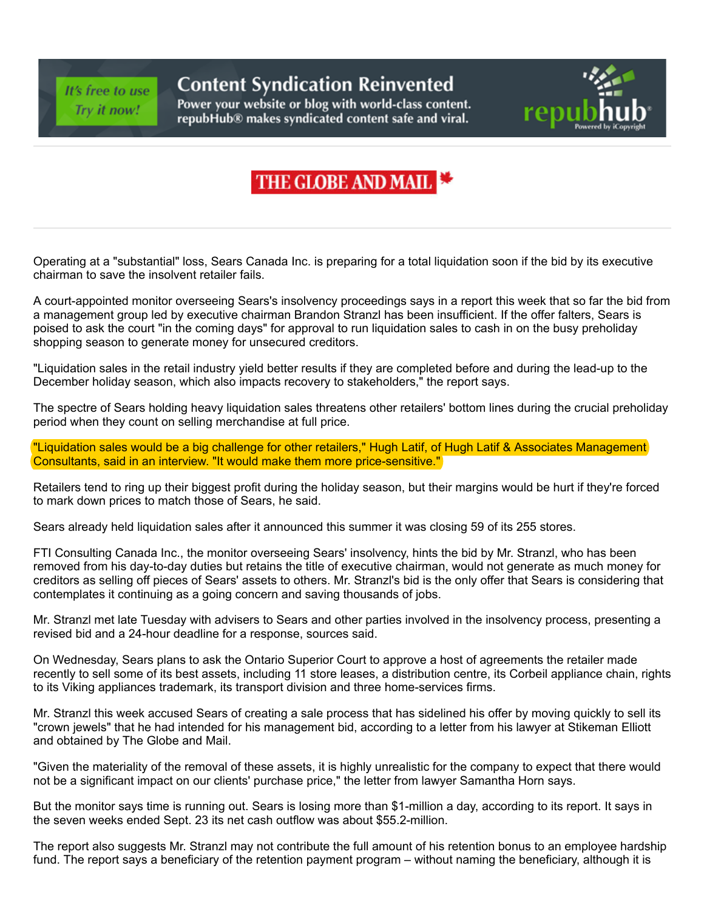It's free to use Try it now!

## **Content Syndication Reinvented**

Power your website or blog with world-class content. repubHub® makes syndicated content safe and viral.



## THE GLOBE AND MAIL

Operating at a "substantial" loss, Sears Canada Inc. is preparing for a total liquidation soon if the bid by its executive chairman to save the insolvent retailer fails.

A court-appointed monitor overseeing Sears's insolvency proceedings says in a report this week that so far the bid from a management group led by executive chairman Brandon Stranzl has been insufficient. If the offer falters, Sears is poised to ask the court "in the coming days" for approval to run liquidation sales to cash in on the busy preholiday shopping season to generate money for unsecured creditors.

"Liquidation sales in the retail industry yield better results if they are completed before and during the lead-up to the December holiday season, which also impacts recovery to stakeholders," the report says.

The spectre of Sears holding heavy liquidation sales threatens other retailers' bottom lines during the crucial preholiday period when they count on selling merchandise at full price.

"Liquidation sales would be a big challenge for other retailers," Hugh Latif, of Hugh Latif & Associates Management Consultants, said in an interview. "It would make them more price-sensitive."

Retailers tend to ring up their biggest profit during the holiday season, but their margins would be hurt if they're forced to mark down prices to match those of Sears, he said.

Sears already held liquidation sales after it announced this summer it was closing 59 of its 255 stores.

FTI Consulting Canada Inc., the monitor overseeing Sears' insolvency, hints the bid by Mr. Stranzl, who has been removed from his day-to-day duties but retains the title of executive chairman, would not generate as much money for creditors as selling off pieces of Sears' assets to others. Mr. Stranzl's bid is the only offer that Sears is considering that contemplates it continuing as a going concern and saving thousands of jobs.

Mr. Stranzl met late Tuesday with advisers to Sears and other parties involved in the insolvency process, presenting a revised bid and a 24-hour deadline for a response, sources said.

On Wednesday, Sears plans to ask the Ontario Superior Court to approve a host of agreements the retailer made recently to sell some of its best assets, including 11 store leases, a distribution centre, its Corbeil appliance chain, rights to its Viking appliances trademark, its transport division and three home-services firms.

Mr. Stranzl this week accused Sears of creating a sale process that has sidelined his offer by moving quickly to sell its "crown jewels" that he had intended for his management bid, according to a letter from his lawyer at Stikeman Elliott and obtained by The Globe and Mail.

"Given the materiality of the removal of these assets, it is highly unrealistic for the company to expect that there would not be a significant impact on our clients' purchase price," the letter from lawyer Samantha Horn says.

But the monitor says time is running out. Sears is losing more than \$1-million a day, according to its report. It says in the seven weeks ended Sept. 23 its net cash outflow was about \$55.2-million.

The report also suggests Mr. Stranzl may not contribute the full amount of his retention bonus to an employee hardship fund. The report says a beneficiary of the retention payment program – without naming the beneficiary, although it is